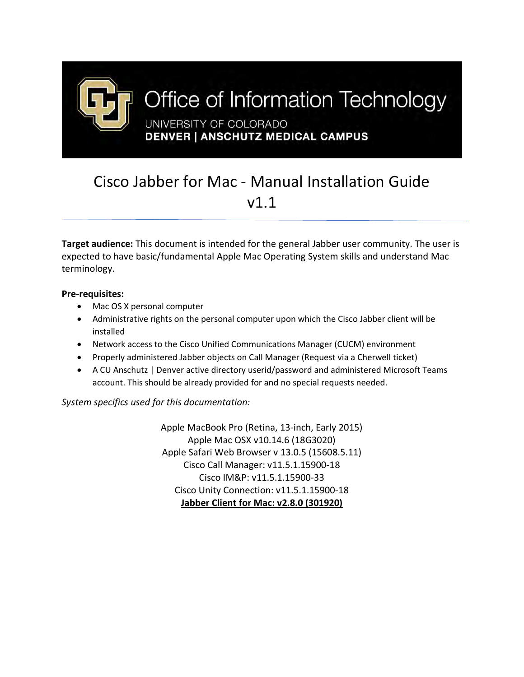

## Cisco Jabber for Mac - Manual Installation Guide v1.1

**Target audience:** This document is intended for the general Jabber user community. The user is expected to have basic/fundamental Apple Mac Operating System skills and understand Mac terminology.

## **Pre-requisites:**

- Mac OS X personal computer
- Administrative rights on the personal computer upon which the Cisco Jabber client will be installed
- Network access to the Cisco Unified Communications Manager (CUCM) environment
- Properly administered Jabber objects on Call Manager (Request via a Cherwell ticket)
- A CU Anschutz | Denver active directory userid/password and administered Microsoft Teams account. This should be already provided for and no special requests needed.

*System specifics used for this documentation:*

Apple MacBook Pro (Retina, 13-inch, Early 2015) Apple Mac OSX v10.14.6 (18G3020) Apple Safari Web Browser v 13.0.5 (15608.5.11) Cisco Call Manager: v11.5.1.15900-18 Cisco IM&P: v11.5.1.15900-33 Cisco Unity Connection: v11.5.1.15900-18 **Jabber Client for Mac: v2.8.0 (301920)**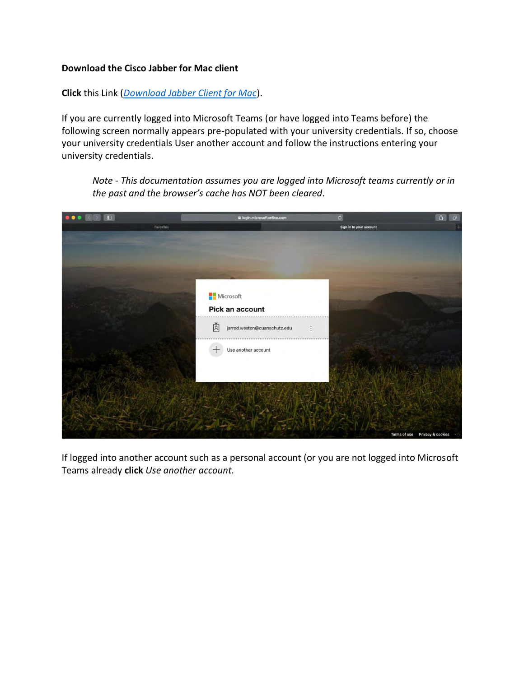## **Download the Cisco Jabber for Mac client**

**Click** this Link (*[Download Jabber Client for Mac](https://olucdenver.sharepoint.com/sites/OITPublicAccessResources/Shared%20Documents/General/CiscoJabberMac-12.8.0.301920.pkg)*).

If you are currently logged into Microsoft Teams (or have logged into Teams before) the following screen normally appears pre-populated with your university credentials. If so, choose your university credentials User another account and follow the instructions entering your university credentials.

*Note - This documentation assumes you are logged into Microsoft teams currently or in the past and the browser's cache has NOT been cleared.* 



If logged into another account such as a personal account (or you are not logged into Microsoft Teams already **click** *Use another account.*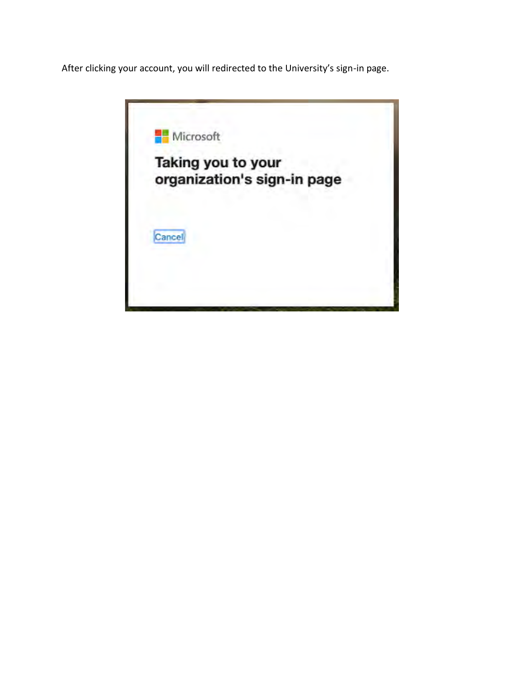After clicking your account, you will redirected to the University's sign-in page.

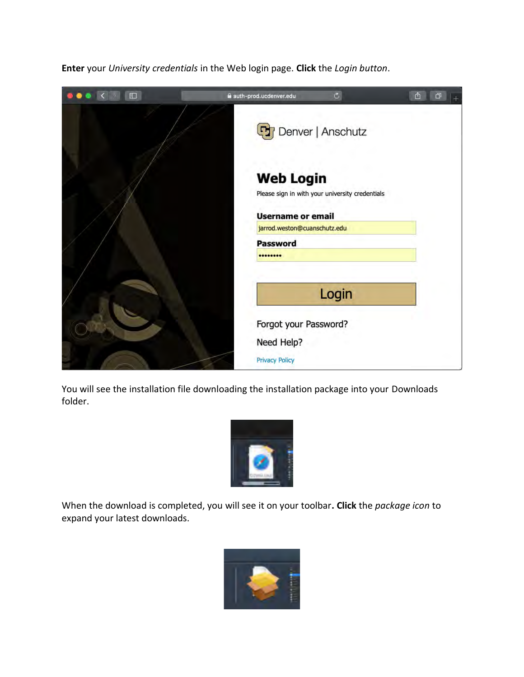$\overline{c}$ auth-prod.ucdenver.edu  $\mathbb{C}$   $\mathbb{C}$ **D**<sub>r</sub> Denver | Anschutz **Web Login** Please sign in with your university credentials **Username or email** jarrod.weston@cuanschutz.edu **Password** ........ Login Forgot your Password? Need Help? **Privacy Policy** 

**Enter** your *University credentials* in the Web login page. **Click** the *Login button*.

You will see the installation file downloading the installation package into your Downloads folder.



When the download is completed, you will see it on your toolbar**. Click** the *package icon* to expand your latest downloads.

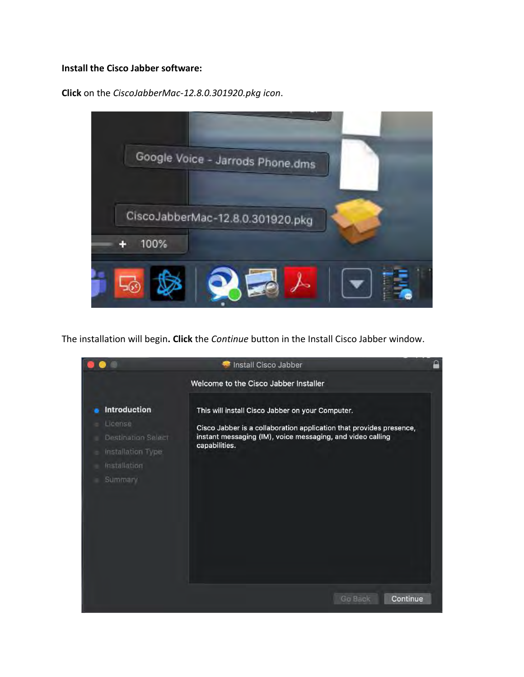## **Install the Cisco Jabber software:**

**Click** on the *CiscoJabberMac-12.8.0.301920.pkg icon*.



The installation will begin**. Click** the *Continue* button in the Install Cisco Jabber window.

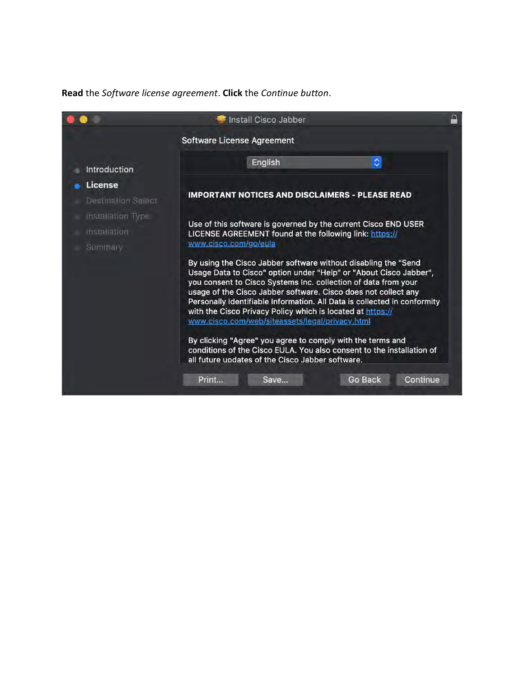**Read** the *Software license agreement*. **Click** the *Continue button*.

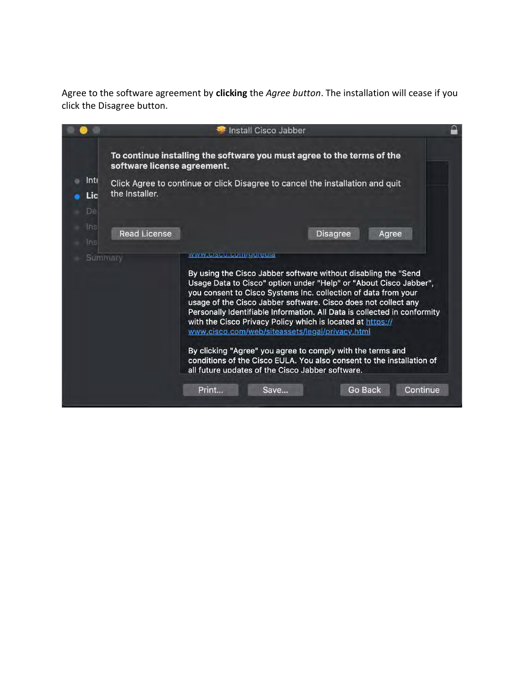Agree to the software agreement by **clicking** the *Agree button*. The installation will cease if you click the Disagree button.

|                   |                             |                                                                                                                                                                                                                                                                                                                                                                                                                                                                                                                                                                                                                                                                                                   | Install Cisco Jabber |                 |       |          |
|-------------------|-----------------------------|---------------------------------------------------------------------------------------------------------------------------------------------------------------------------------------------------------------------------------------------------------------------------------------------------------------------------------------------------------------------------------------------------------------------------------------------------------------------------------------------------------------------------------------------------------------------------------------------------------------------------------------------------------------------------------------------------|----------------------|-----------------|-------|----------|
|                   | software license agreement. | To continue installing the software you must agree to the terms of the                                                                                                                                                                                                                                                                                                                                                                                                                                                                                                                                                                                                                            |                      |                 |       |          |
| Inti<br>Lic<br>De | the Installer.              | Click Agree to continue or click Disagree to cancel the installation and quit                                                                                                                                                                                                                                                                                                                                                                                                                                                                                                                                                                                                                     |                      |                 |       |          |
| Ins<br>Ins        | <b>Read License</b>         |                                                                                                                                                                                                                                                                                                                                                                                                                                                                                                                                                                                                                                                                                                   |                      | <b>Disagree</b> | Agree |          |
| Summary           |                             | www.ciscu.cum/gujeuld<br>By using the Cisco Jabber software without disabling the "Send<br>Usage Data to Cisco" option under "Help" or "About Cisco Jabber",<br>you consent to Cisco Systems Inc. collection of data from your<br>usage of the Cisco Jabber software. Cisco does not collect any<br>Personally Identifiable Information. All Data is collected in conformity<br>with the Cisco Privacy Policy which is located at https://<br>www.cisco.com/web/siteassets/legal/privacy.html<br>By clicking "Agree" you agree to comply with the terms and<br>conditions of the Cisco EULA. You also consent to the installation of<br>all future updates of the Cisco Jabber software.<br>Print | Save                 | <b>Go Back</b>  |       | Continue |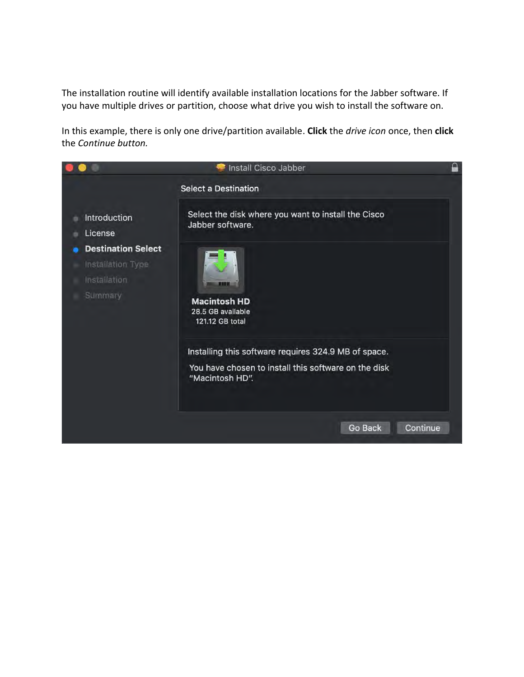The installation routine will identify available installation locations for the Jabber software. If you have multiple drives or partition, choose what drive you wish to install the software on.

In this example, there is only one drive/partition available. **Click** the *drive icon* once, then **click** the *Continue button.*

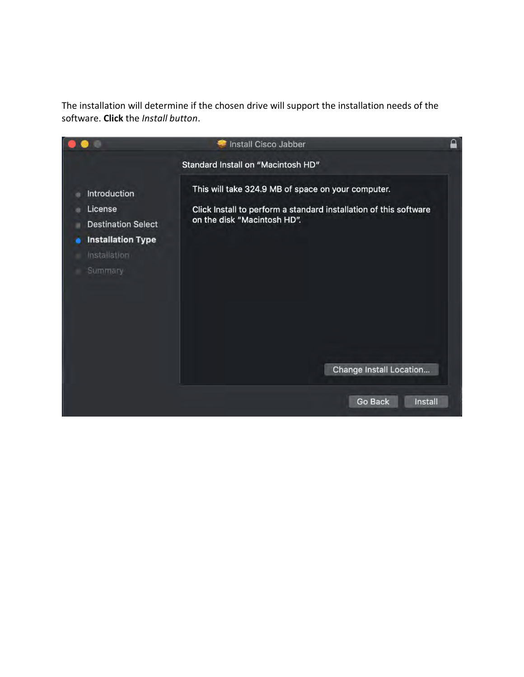The installation will determine if the chosen drive will support the installation needs of the software. **Click** the *Install button*.

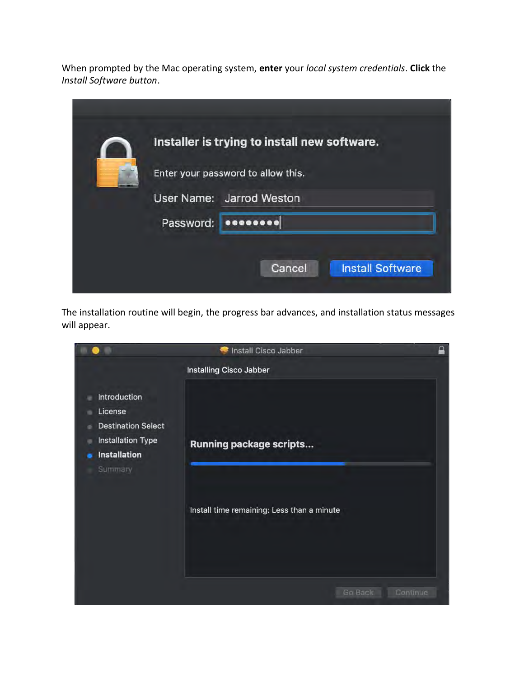When prompted by the Mac operating system, **enter** your *local system credentials*. **Click** the *Install Software button*.

| Installer is trying to install new software. |                                    |  |  |  |
|----------------------------------------------|------------------------------------|--|--|--|
|                                              | Enter your password to allow this. |  |  |  |
|                                              | User Name: Jarrod Weston           |  |  |  |
| Password:                                    | 000000000                          |  |  |  |
|                                              |                                    |  |  |  |
|                                              | <b>Install Software</b><br>Cancel  |  |  |  |

The installation routine will begin, the progress bar advances, and installation status messages will appear.

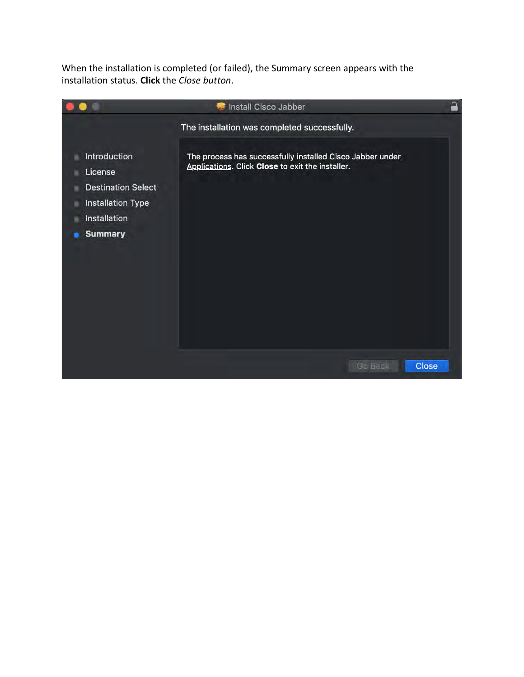When the installation is completed (or failed), the Summary screen appears with the installation status. **Click** the *Close button*.

|                                                                                                                           | Install Cisco Jabber                                                                                          | ₽ |  |  |  |  |
|---------------------------------------------------------------------------------------------------------------------------|---------------------------------------------------------------------------------------------------------------|---|--|--|--|--|
|                                                                                                                           | The installation was completed successfully.                                                                  |   |  |  |  |  |
| <b>Introduction</b><br>License<br><b>Destination Select</b><br><b>Installation Type</b><br>Installation<br><b>Summary</b> | The process has successfully installed Cisco Jabber under<br>Applications. Click Close to exit the installer. |   |  |  |  |  |
|                                                                                                                           | Close<br><b>Go Back</b>                                                                                       |   |  |  |  |  |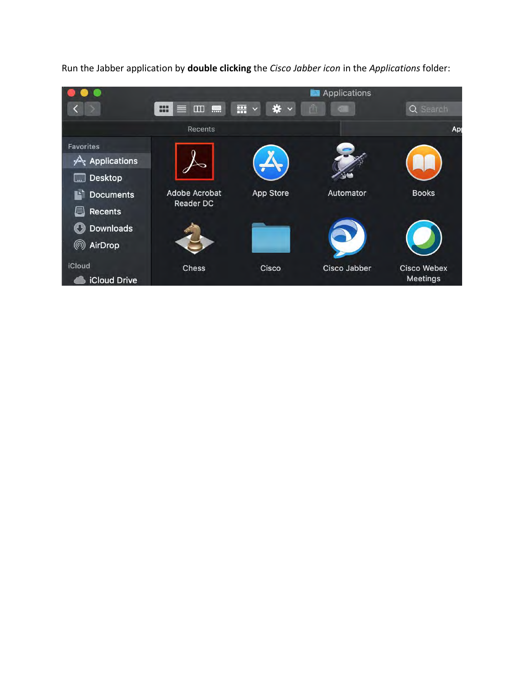

Run the Jabber application by **double clicking** the *Cisco Jabber icon* in the *Applications* folder: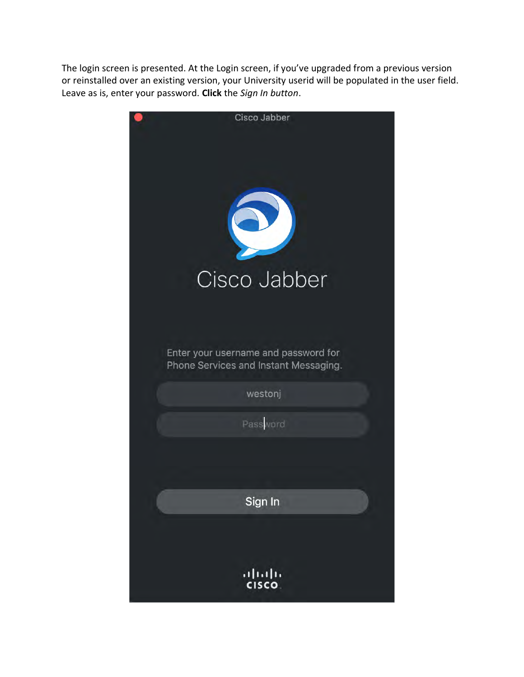The login screen is presented. At the Login screen, if you've upgraded from a previous version or reinstalled over an existing version, your University userid will be populated in the user field. Leave as is, enter your password. **Click** the *Sign In button*.